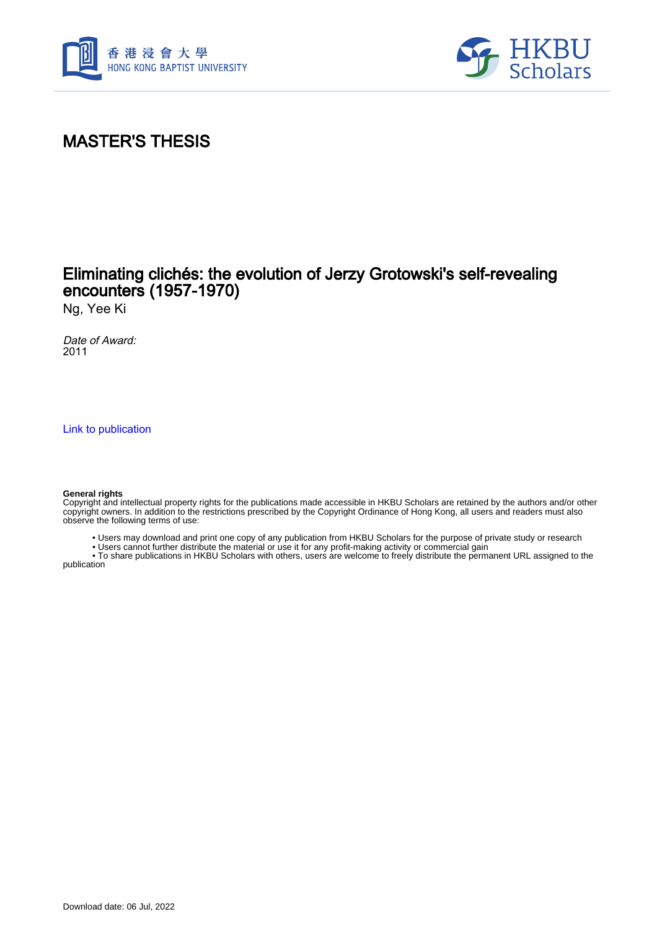



# MASTER'S THESIS

## Eliminating clichés: the evolution of Jerzy Grotowski's self-revealing encounters (1957-1970)

Ng, Yee Ki

Date of Award: 2011

[Link to publication](https://scholars.hkbu.edu.hk/en/studentTheses/9c4a1e08-32b3-4e30-89ef-ce99787da3a2)

#### **General rights**

Copyright and intellectual property rights for the publications made accessible in HKBU Scholars are retained by the authors and/or other copyright owners. In addition to the restrictions prescribed by the Copyright Ordinance of Hong Kong, all users and readers must also observe the following terms of use:

• Users may download and print one copy of any publication from HKBU Scholars for the purpose of private study or research

• Users cannot further distribute the material or use it for any profit-making activity or commercial gain

 • To share publications in HKBU Scholars with others, users are welcome to freely distribute the permanent URL assigned to the publication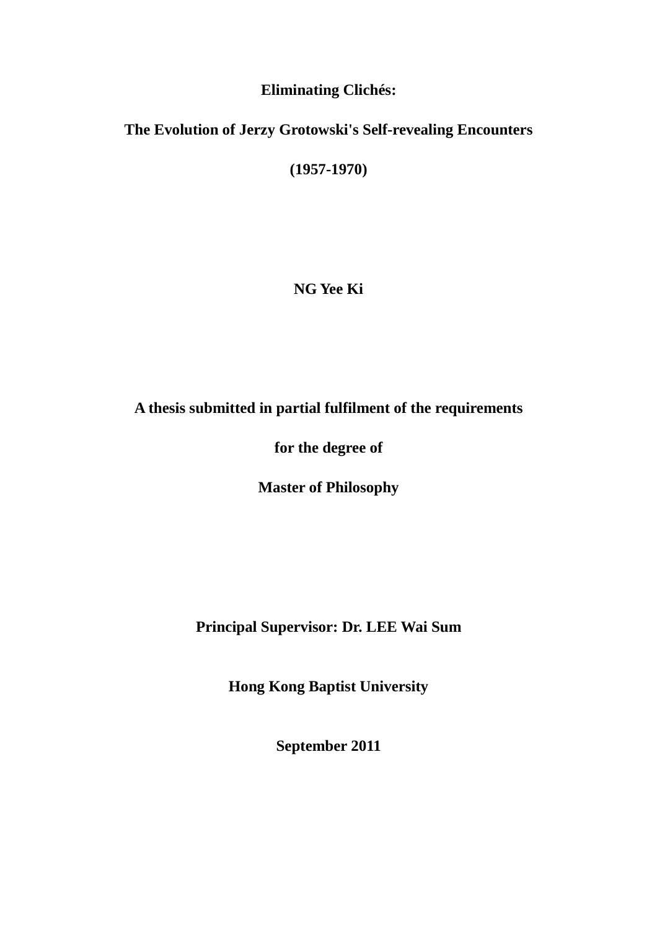#### **Eliminating Clichés:**

### **The Evolution of Jerzy Grotowski's Self-revealing Encounters**

**(1957-1970)** 

**NG Yee Ki** 

### **A thesis submitted in partial fulfilment of the requirements**

### **for the degree of**

### **Master of Philosophy**

# **Principal Supervisor: Dr. LEE Wai Sum**

**Hong Kong Baptist University** 

**September 2011**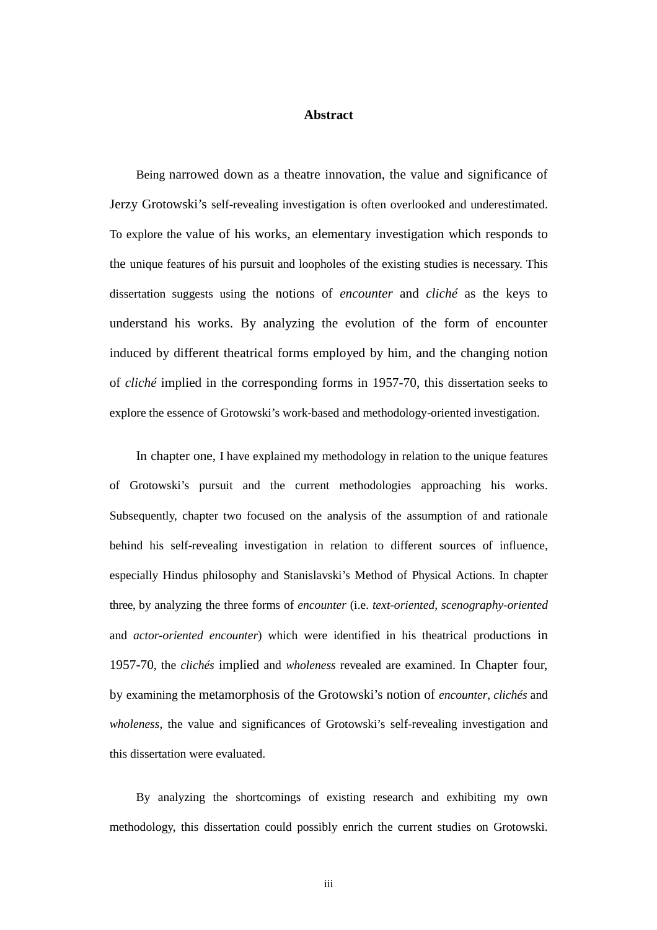#### **Abstract**

Being narrowed down as a theatre innovation, the value and significance of Jerzy Grotowski's self-revealing investigation is often overlooked and underestimated. To explore the value of his works, an elementary investigation which responds to the unique features of his pursuit and loopholes of the existing studies is necessary. This dissertation suggests using the notions of *encounter* and *cliché* as the keys to understand his works. By analyzing the evolution of the form of encounter induced by different theatrical forms employed by him, and the changing notion of *cliché* implied in the corresponding forms in 1957-70, this dissertation seeks to explore the essence of Grotowski's work-based and methodology-oriented investigation.

In chapter one, I have explained my methodology in relation to the unique features of Grotowski's pursuit and the current methodologies approaching his works. Subsequently, chapter two focused on the analysis of the assumption of and rationale behind his self-revealing investigation in relation to different sources of influence, especially Hindus philosophy and Stanislavski's Method of Physical Actions. In chapter three, by analyzing the three forms of *encounter* (i.e. *text-oriented*, *scenography-oriented*  and *actor-oriented encounter*) which were identified in his theatrical productions in 1957-70, the *clichés* implied and *wholeness* revealed are examined. In Chapter four, by examining the metamorphosis of the Grotowski's notion of *encounter*, *clichés* and *wholeness*, the value and significances of Grotowski's self-revealing investigation and this dissertation were evaluated.

By analyzing the shortcomings of existing research and exhibiting my own methodology, this dissertation could possibly enrich the current studies on Grotowski.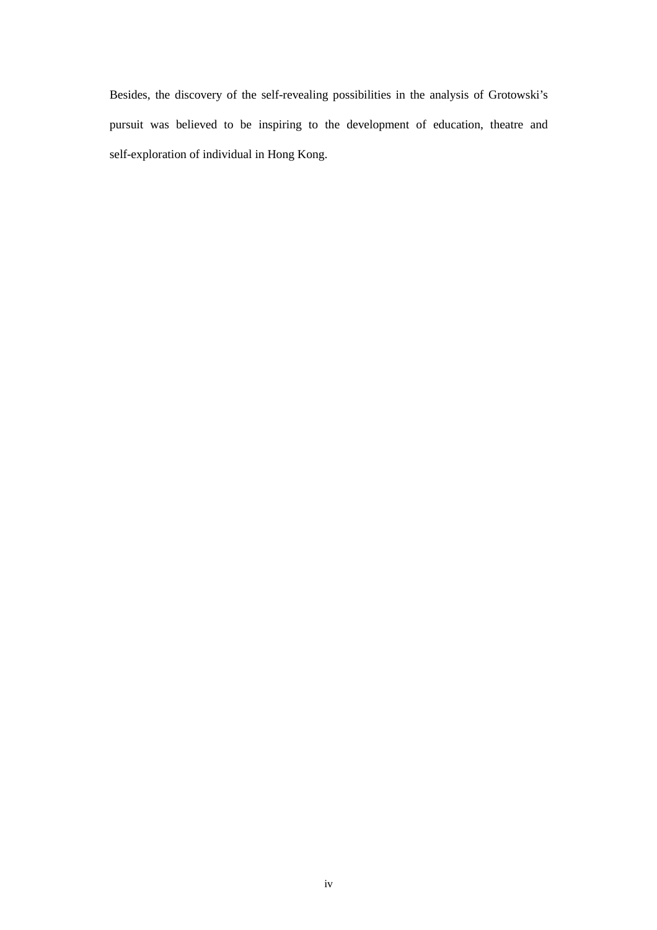Besides, the discovery of the self-revealing possibilities in the analysis of Grotowski's pursuit was believed to be inspiring to the development of education, theatre and self-exploration of individual in Hong Kong.